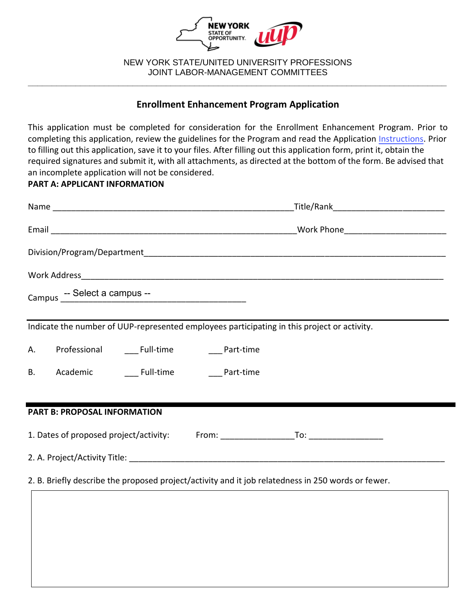

NEW YORK STATE/UNITED UNIVERSITY PROFESSIONS JOINT LABOR-MANAGEMENT COMMITTEES **\_\_\_\_\_\_\_\_\_\_\_\_\_\_\_\_\_\_\_\_\_\_\_\_\_\_\_\_\_\_\_\_\_\_\_\_\_\_\_\_\_\_\_\_\_\_\_\_\_\_\_\_\_\_\_\_\_\_\_\_\_\_\_\_\_\_\_\_\_\_\_\_\_\_\_\_\_\_\_\_\_\_\_\_\_\_\_\_**

# **Enrollment Enhancement Program Application**

This application must be completed for consideration for the Enrollment Enhancement Program. Prior to completing this application, review the guidelines for the Program and read the Application [Instructions.](https://oer.ny.gov/instructions-completing-fillable-pdf-application) Prior to filling out this application, save it to your files. After filling out this application form, print it, obtain the required signatures and submit it, with all attachments, as directed at the bottom of the form. Be advised that an incomplete application will not be considered.

### **PART A: APPLICANT INFORMATION**

|                                                                                                    | _Title/Rank________________________________                                                 |  |  |  |  |
|----------------------------------------------------------------------------------------------------|---------------------------------------------------------------------------------------------|--|--|--|--|
|                                                                                                    |                                                                                             |  |  |  |  |
|                                                                                                    |                                                                                             |  |  |  |  |
|                                                                                                    |                                                                                             |  |  |  |  |
| Campus -- Select a campus --                                                                       |                                                                                             |  |  |  |  |
|                                                                                                    | Indicate the number of UUP-represented employees participating in this project or activity. |  |  |  |  |
| Professional _______ Full-time ______________ Part-time<br>Α.                                      |                                                                                             |  |  |  |  |
| Academic _______ Full-time ________ Part-time<br>В.                                                |                                                                                             |  |  |  |  |
|                                                                                                    |                                                                                             |  |  |  |  |
| <b>PART B: PROPOSAL INFORMATION</b>                                                                |                                                                                             |  |  |  |  |
|                                                                                                    |                                                                                             |  |  |  |  |
|                                                                                                    |                                                                                             |  |  |  |  |
| 2. B. Briefly describe the proposed project/activity and it job relatedness in 250 words or fewer. |                                                                                             |  |  |  |  |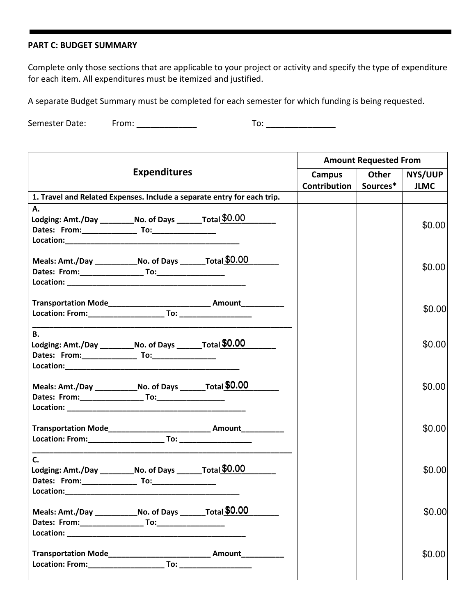#### **PART C: BUDGET SUMMARY**

Complete only those sections that are applicable to your project or activity and specify the type of expenditure for each item. All expenditures must be itemized and justified.

A separate Budget Summary must be completed for each semester for which funding is being requested.

Semester Date: From: \_\_\_\_\_\_\_\_\_\_\_\_\_ To: \_\_\_\_\_\_\_\_\_\_\_\_\_\_\_

| <b>Expenditures</b>                                                                                                                                                                                                           |  |                                                                                  | <b>Amount Requested From</b> |          |             |  |
|-------------------------------------------------------------------------------------------------------------------------------------------------------------------------------------------------------------------------------|--|----------------------------------------------------------------------------------|------------------------------|----------|-------------|--|
|                                                                                                                                                                                                                               |  |                                                                                  | <b>Campus</b>                | Other    | NYS/UUP     |  |
|                                                                                                                                                                                                                               |  |                                                                                  | Contribution                 | Sources* | <b>JLMC</b> |  |
| 1. Travel and Related Expenses. Include a separate entry for each trip.                                                                                                                                                       |  |                                                                                  |                              |          |             |  |
| Α.                                                                                                                                                                                                                            |  |                                                                                  |                              |          |             |  |
| Lodging: Amt./Day ___________No. of Days ________Total \$0.00                                                                                                                                                                 |  |                                                                                  |                              |          |             |  |
|                                                                                                                                                                                                                               |  |                                                                                  |                              |          | \$0.00      |  |
|                                                                                                                                                                                                                               |  |                                                                                  |                              |          |             |  |
| Meals: Amt./Day ______________No. of Days _________Total \$0.00                                                                                                                                                               |  |                                                                                  |                              |          |             |  |
|                                                                                                                                                                                                                               |  |                                                                                  |                              |          | \$0.00      |  |
|                                                                                                                                                                                                                               |  |                                                                                  |                              |          |             |  |
|                                                                                                                                                                                                                               |  |                                                                                  |                              |          |             |  |
|                                                                                                                                                                                                                               |  | Transportation Mode___________________________________ Amount___________________ |                              |          |             |  |
|                                                                                                                                                                                                                               |  |                                                                                  |                              |          | \$0.00      |  |
|                                                                                                                                                                                                                               |  |                                                                                  |                              |          |             |  |
| <b>B.</b>                                                                                                                                                                                                                     |  |                                                                                  |                              |          |             |  |
| Lodging: Amt./Day ____________No. of Days __________Total \$0.00                                                                                                                                                              |  |                                                                                  |                              |          | \$0.00      |  |
|                                                                                                                                                                                                                               |  |                                                                                  |                              |          |             |  |
|                                                                                                                                                                                                                               |  |                                                                                  |                              |          |             |  |
|                                                                                                                                                                                                                               |  |                                                                                  |                              |          |             |  |
| Meals: Amt./Day ________________No. of Days __________Total \$0.00                                                                                                                                                            |  |                                                                                  |                              |          | \$0.00      |  |
|                                                                                                                                                                                                                               |  |                                                                                  |                              |          |             |  |
|                                                                                                                                                                                                                               |  |                                                                                  |                              |          |             |  |
|                                                                                                                                                                                                                               |  | Transportation Mode______________________________ Amount____________             |                              |          | \$0.00      |  |
|                                                                                                                                                                                                                               |  |                                                                                  |                              |          |             |  |
|                                                                                                                                                                                                                               |  |                                                                                  |                              |          |             |  |
| C.                                                                                                                                                                                                                            |  |                                                                                  |                              |          |             |  |
| Lodging: Amt./Day ___________ No. of Days ________ Total \$0.00                                                                                                                                                               |  |                                                                                  |                              |          | \$0.00      |  |
|                                                                                                                                                                                                                               |  |                                                                                  |                              |          |             |  |
| Location: New York Processing Contract of the Contract of the Contract of the Contract of the Contract of the Contract of the Contract of the Contract of the Contract of the Contract of the Contract of the Contract of the |  |                                                                                  |                              |          |             |  |
| Meals: Amt./Day ______________No. of Days _________ Total \$0.00                                                                                                                                                              |  |                                                                                  |                              |          | \$0.00      |  |
|                                                                                                                                                                                                                               |  |                                                                                  |                              |          |             |  |
|                                                                                                                                                                                                                               |  |                                                                                  |                              |          |             |  |
|                                                                                                                                                                                                                               |  |                                                                                  |                              |          |             |  |
|                                                                                                                                                                                                                               |  |                                                                                  |                              |          | \$0.00      |  |
|                                                                                                                                                                                                                               |  |                                                                                  |                              |          |             |  |
|                                                                                                                                                                                                                               |  |                                                                                  |                              |          |             |  |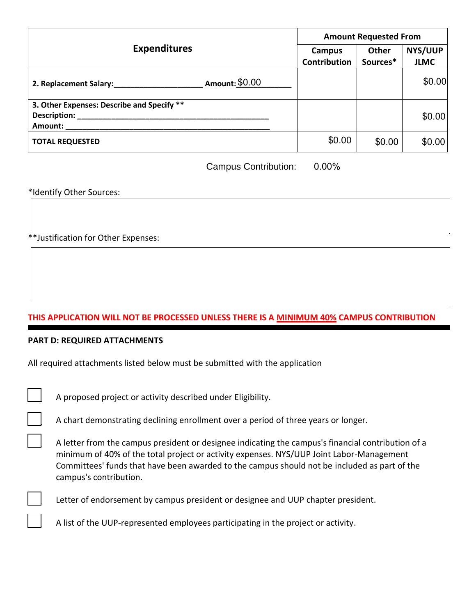|                                                                       | <b>Amount Requested From</b>  |                          |                        |  |
|-----------------------------------------------------------------------|-------------------------------|--------------------------|------------------------|--|
| <b>Expenditures</b>                                                   | Campus<br><b>Contribution</b> | <b>Other</b><br>Sources* | NYS/UUP<br><b>JLMC</b> |  |
| Amount: \$0.00<br>2. Replacement Salary:                              |                               |                          | \$0.00                 |  |
| 3. Other Expenses: Describe and Specify **<br>Description:<br>Amount: |                               |                          | \$0.00                 |  |
| <b>TOTAL REQUESTED</b>                                                | \$0.00                        | \$0.00                   | \$0.00                 |  |

Campus Contribution: 0.00%

\*Identify Other Sources:

\*\*Justification for Other Expenses:

# **THIS APPLICATION WILL NOT BE PROCESSED UNLESS THERE IS A MINIMUM 40% CAMPUS CONTRIBUTION**

### **PART D: REQUIRED ATTACHMENTS**

|  |  | All required attachments listed below must be submitted with the application |  |  |  |  |  |
|--|--|------------------------------------------------------------------------------|--|--|--|--|--|
|--|--|------------------------------------------------------------------------------|--|--|--|--|--|

A proposed project or activity described under Eligibility.

A chart demonstrating declining enrollment over a period of three years or longer.

A letter from the campus president or designee indicating the campus's financial contribution of a minimum of 40% of the total project or activity expenses. NYS/UUP Joint Labor-Management Committees' funds that have been awarded to the campus should not be included as part of the campus's contribution.



Letter of endorsement by campus president or designee and UUP chapter president.

A list of the UUP-represented employees participating in the project or activity.